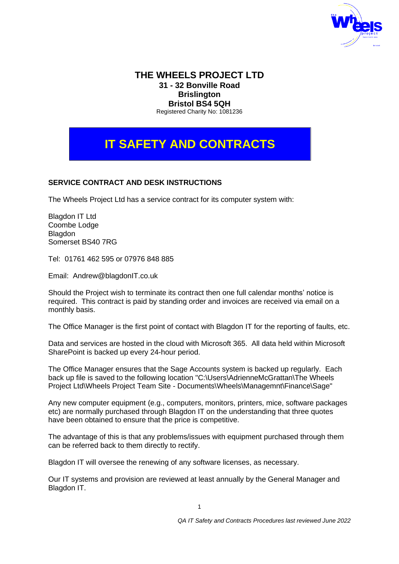

## **THE WHEELS PROJECT LTD 31 - 32 Bonville Road Brislington Bristol BS4 5QH**

Registered Charity No: 1081236

# **IT SAFETY AND CONTRACTS**

## **SERVICE CONTRACT AND DESK INSTRUCTIONS**

The Wheels Project Ltd has a service contract for its computer system with:

Blagdon IT Ltd Coombe Lodge **Blagdon** Somerset BS40 7RG

Tel: 01761 462 595 or 07976 848 885

Email: Andrew@blagdonIT.co.uk

Should the Project wish to terminate its contract then one full calendar months' notice is required.This contract is paid by standing order and invoices are received via email on a monthly basis.

The Office Manager is the first point of contact with Blagdon IT for the reporting of faults, etc.

Data and services are hosted in the cloud with Microsoft 365. All data held within Microsoft SharePoint is backed up every 24-hour period.

The Office Manager ensures that the Sage Accounts system is backed up regularly. Each back up file is saved to the following location "C:\Users\AdrienneMcGrattan\The Wheels Project Ltd\Wheels Project Team Site - Documents\Wheels\Managemnt\Finance\Sage"

Any new computer equipment (e.g., computers, monitors, printers, mice, software packages etc) are normally purchased through Blagdon IT on the understanding that three quotes have been obtained to ensure that the price is competitive.

The advantage of this is that any problems/issues with equipment purchased through them can be referred back to them directly to rectify.

Blagdon IT will oversee the renewing of any software licenses, as necessary.

Our IT systems and provision are reviewed at least annually by the General Manager and Blagdon IT.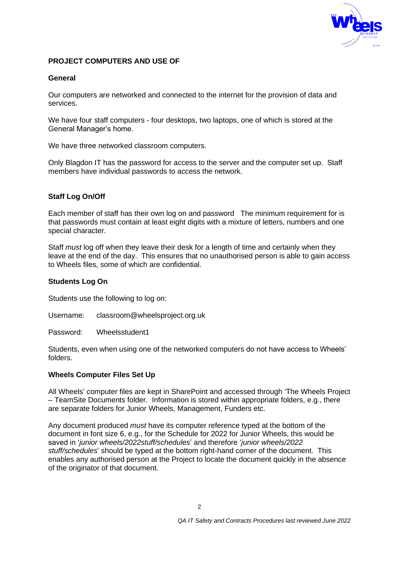

## **PROJECT COMPUTERS AND USE OF**

## **General**

Our computers are networked and connected to the internet for the provision of data and services.

We have four staff computers - four desktops, two laptops, one of which is stored at the General Manager's home.

We have three networked classroom computers.

Only Blagdon IT has the password for access to the server and the computer set up. Staff members have individual passwords to access the network.

## **Staff Log On/Off**

Each member of staff has their own log on and password The minimum requirement for is that passwords must contain at least eight digits with a mixture of letters, numbers and one special character.

Staff *must* log off when they leave their desk for a length of time and certainly when they leave at the end of the day. This ensures that no unauthorised person is able to gain access to Wheels files, some of which are confidential.

#### **Students Log On**

Students use the following to log on:

Username: classroom@wheelsproject.org.uk

Password: Wheelsstudent1

Students, even when using one of the networked computers do not have access to Wheels' folders.

#### **Wheels Computer Files Set Up**

All Wheels' computer files are kept in SharePoint and accessed through 'The Wheels Project – TeamSite Documents folder. Information is stored within appropriate folders, e.g., there are separate folders for Junior Wheels, Management, Funders etc.

Any document produced *must* have its computer reference typed at the bottom of the document in font size 6, e.g., for the Schedule for 2022 for Junior Wheels, this would be saved in '*junior wheels/2022stuff/schedules*' and therefore '*junior wheels/2022 stuff/schedules*' should be typed at the bottom right-hand corner of the document. This enables any authorised person at the Project to locate the document quickly in the absence of the originator of that document.